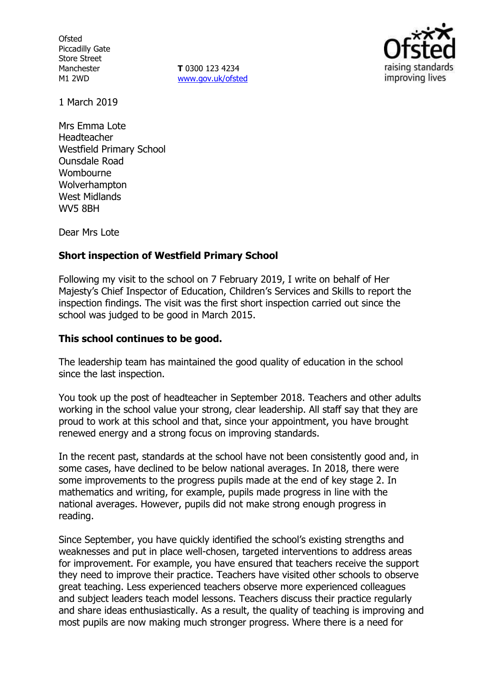**Ofsted** Piccadilly Gate Store Street Manchester M1 2WD

**T** 0300 123 4234 www.gov.uk/ofsted



1 March 2019

Mrs Emma Lote Headteacher Westfield Primary School Ounsdale Road Wombourne Wolverhampton West Midlands WV5 8BH

Dear Mrs Lote

### **Short inspection of Westfield Primary School**

Following my visit to the school on 7 February 2019, I write on behalf of Her Majesty's Chief Inspector of Education, Children's Services and Skills to report the inspection findings. The visit was the first short inspection carried out since the school was judged to be good in March 2015.

### **This school continues to be good.**

The leadership team has maintained the good quality of education in the school since the last inspection.

You took up the post of headteacher in September 2018. Teachers and other adults working in the school value your strong, clear leadership. All staff say that they are proud to work at this school and that, since your appointment, you have brought renewed energy and a strong focus on improving standards.

In the recent past, standards at the school have not been consistently good and, in some cases, have declined to be below national averages. In 2018, there were some improvements to the progress pupils made at the end of key stage 2. In mathematics and writing, for example, pupils made progress in line with the national averages. However, pupils did not make strong enough progress in reading.

Since September, you have quickly identified the school's existing strengths and weaknesses and put in place well-chosen, targeted interventions to address areas for improvement. For example, you have ensured that teachers receive the support they need to improve their practice. Teachers have visited other schools to observe great teaching. Less experienced teachers observe more experienced colleagues and subject leaders teach model lessons. Teachers discuss their practice regularly and share ideas enthusiastically. As a result, the quality of teaching is improving and most pupils are now making much stronger progress. Where there is a need for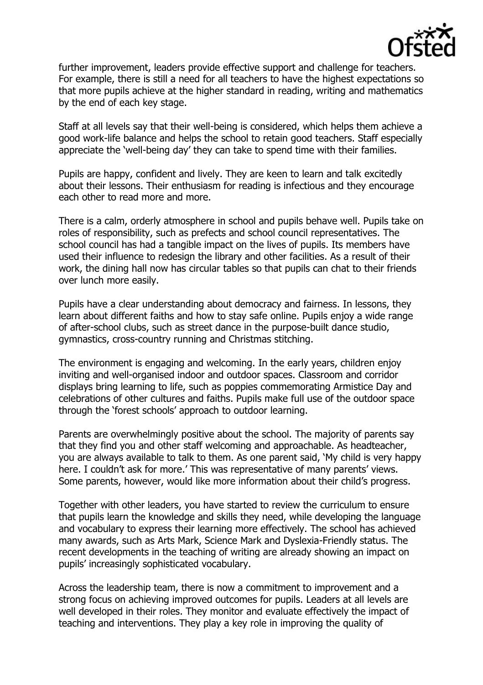

further improvement, leaders provide effective support and challenge for teachers. For example, there is still a need for all teachers to have the highest expectations so that more pupils achieve at the higher standard in reading, writing and mathematics by the end of each key stage.

Staff at all levels say that their well-being is considered, which helps them achieve a good work-life balance and helps the school to retain good teachers. Staff especially appreciate the 'well-being day' they can take to spend time with their families.

Pupils are happy, confident and lively. They are keen to learn and talk excitedly about their lessons. Their enthusiasm for reading is infectious and they encourage each other to read more and more.

There is a calm, orderly atmosphere in school and pupils behave well. Pupils take on roles of responsibility, such as prefects and school council representatives. The school council has had a tangible impact on the lives of pupils. Its members have used their influence to redesign the library and other facilities. As a result of their work, the dining hall now has circular tables so that pupils can chat to their friends over lunch more easily.

Pupils have a clear understanding about democracy and fairness. In lessons, they learn about different faiths and how to stay safe online. Pupils enjoy a wide range of after-school clubs, such as street dance in the purpose-built dance studio, gymnastics, cross-country running and Christmas stitching.

The environment is engaging and welcoming. In the early years, children enjoy inviting and well-organised indoor and outdoor spaces. Classroom and corridor displays bring learning to life, such as poppies commemorating Armistice Day and celebrations of other cultures and faiths. Pupils make full use of the outdoor space through the 'forest schools' approach to outdoor learning.

Parents are overwhelmingly positive about the school. The majority of parents say that they find you and other staff welcoming and approachable. As headteacher, you are always available to talk to them. As one parent said, 'My child is very happy here. I couldn't ask for more.' This was representative of many parents' views. Some parents, however, would like more information about their child's progress.

Together with other leaders, you have started to review the curriculum to ensure that pupils learn the knowledge and skills they need, while developing the language and vocabulary to express their learning more effectively. The school has achieved many awards, such as Arts Mark, Science Mark and Dyslexia-Friendly status. The recent developments in the teaching of writing are already showing an impact on pupils' increasingly sophisticated vocabulary.

Across the leadership team, there is now a commitment to improvement and a strong focus on achieving improved outcomes for pupils. Leaders at all levels are well developed in their roles. They monitor and evaluate effectively the impact of teaching and interventions. They play a key role in improving the quality of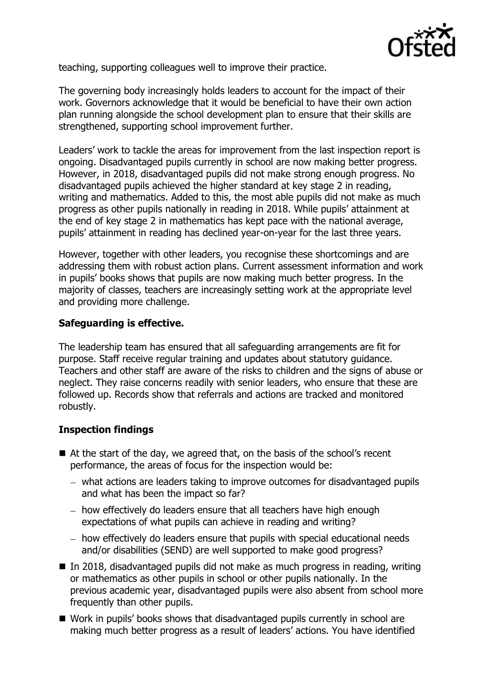

teaching, supporting colleagues well to improve their practice.

The governing body increasingly holds leaders to account for the impact of their work. Governors acknowledge that it would be beneficial to have their own action plan running alongside the school development plan to ensure that their skills are strengthened, supporting school improvement further.

Leaders' work to tackle the areas for improvement from the last inspection report is ongoing. Disadvantaged pupils currently in school are now making better progress. However, in 2018, disadvantaged pupils did not make strong enough progress. No disadvantaged pupils achieved the higher standard at key stage 2 in reading, writing and mathematics. Added to this, the most able pupils did not make as much progress as other pupils nationally in reading in 2018. While pupils' attainment at the end of key stage 2 in mathematics has kept pace with the national average, pupils' attainment in reading has declined year-on-year for the last three years.

However, together with other leaders, you recognise these shortcomings and are addressing them with robust action plans. Current assessment information and work in pupils' books shows that pupils are now making much better progress. In the majority of classes, teachers are increasingly setting work at the appropriate level and providing more challenge.

## **Safeguarding is effective.**

The leadership team has ensured that all safeguarding arrangements are fit for purpose. Staff receive regular training and updates about statutory guidance. Teachers and other staff are aware of the risks to children and the signs of abuse or neglect. They raise concerns readily with senior leaders, who ensure that these are followed up. Records show that referrals and actions are tracked and monitored robustly.

# **Inspection findings**

- At the start of the day, we agreed that, on the basis of the school's recent performance, the areas of focus for the inspection would be:
	- what actions are leaders taking to improve outcomes for disadvantaged pupils and what has been the impact so far?
	- how effectively do leaders ensure that all teachers have high enough expectations of what pupils can achieve in reading and writing?
	- how effectively do leaders ensure that pupils with special educational needs and/or disabilities (SEND) are well supported to make good progress?
- In 2018, disadvantaged pupils did not make as much progress in reading, writing or mathematics as other pupils in school or other pupils nationally. In the previous academic year, disadvantaged pupils were also absent from school more frequently than other pupils.
- Work in pupils' books shows that disadvantaged pupils currently in school are making much better progress as a result of leaders' actions. You have identified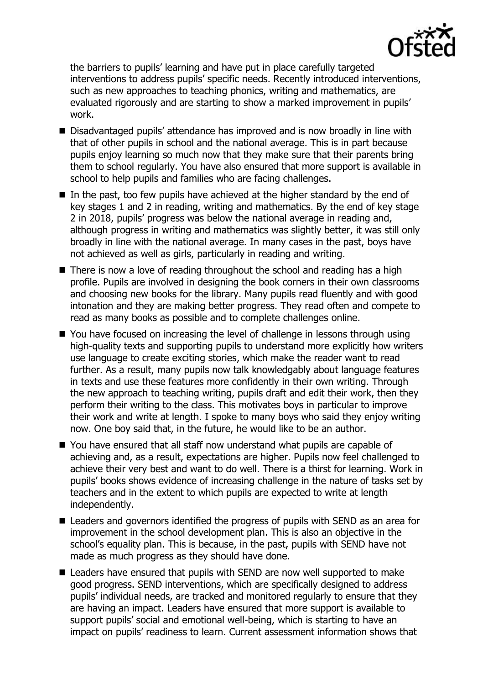

the barriers to pupils' learning and have put in place carefully targeted interventions to address pupils' specific needs. Recently introduced interventions, such as new approaches to teaching phonics, writing and mathematics, are evaluated rigorously and are starting to show a marked improvement in pupils' work.

- Disadvantaged pupils' attendance has improved and is now broadly in line with that of other pupils in school and the national average. This is in part because pupils enjoy learning so much now that they make sure that their parents bring them to school regularly. You have also ensured that more support is available in school to help pupils and families who are facing challenges.
- $\blacksquare$  In the past, too few pupils have achieved at the higher standard by the end of key stages 1 and 2 in reading, writing and mathematics. By the end of key stage 2 in 2018, pupils' progress was below the national average in reading and, although progress in writing and mathematics was slightly better, it was still only broadly in line with the national average. In many cases in the past, boys have not achieved as well as girls, particularly in reading and writing.
- There is now a love of reading throughout the school and reading has a high profile. Pupils are involved in designing the book corners in their own classrooms and choosing new books for the library. Many pupils read fluently and with good intonation and they are making better progress. They read often and compete to read as many books as possible and to complete challenges online.
- You have focused on increasing the level of challenge in lessons through using high-quality texts and supporting pupils to understand more explicitly how writers use language to create exciting stories, which make the reader want to read further. As a result, many pupils now talk knowledgably about language features in texts and use these features more confidently in their own writing. Through the new approach to teaching writing, pupils draft and edit their work, then they perform their writing to the class. This motivates boys in particular to improve their work and write at length. I spoke to many boys who said they enjoy writing now. One boy said that, in the future, he would like to be an author.
- You have ensured that all staff now understand what pupils are capable of achieving and, as a result, expectations are higher. Pupils now feel challenged to achieve their very best and want to do well. There is a thirst for learning. Work in pupils' books shows evidence of increasing challenge in the nature of tasks set by teachers and in the extent to which pupils are expected to write at length independently.
- Leaders and governors identified the progress of pupils with SEND as an area for improvement in the school development plan. This is also an objective in the school's equality plan. This is because, in the past, pupils with SEND have not made as much progress as they should have done.
- Leaders have ensured that pupils with SEND are now well supported to make good progress. SEND interventions, which are specifically designed to address pupils' individual needs, are tracked and monitored regularly to ensure that they are having an impact. Leaders have ensured that more support is available to support pupils' social and emotional well-being, which is starting to have an impact on pupils' readiness to learn. Current assessment information shows that